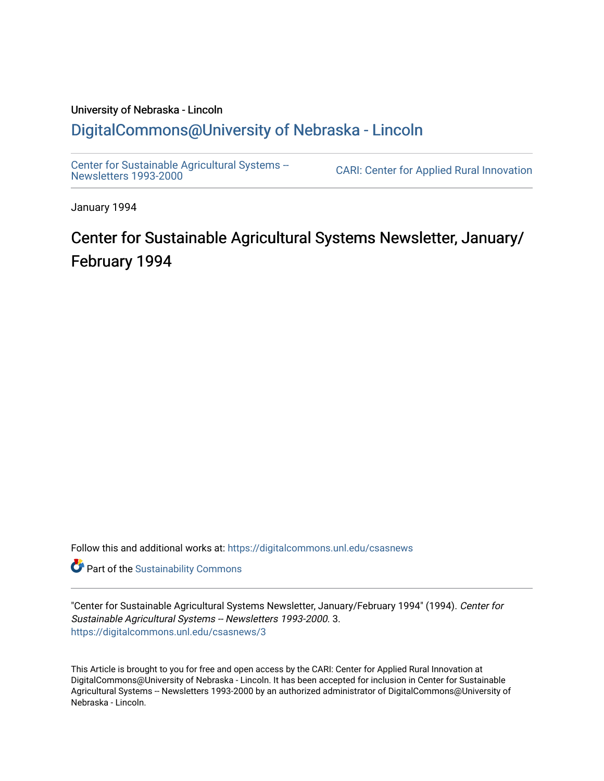## University of Nebraska - Lincoln [DigitalCommons@University of Nebraska - Lincoln](https://digitalcommons.unl.edu/)

[Center for Sustainable Agricultural Systems --](https://digitalcommons.unl.edu/csasnews)<br>Newsletters 1993-2000

CARI: Center for Applied Rural Innovation

January 1994

# Center for Sustainable Agricultural Systems Newsletter, January/ February 1994

Follow this and additional works at: [https://digitalcommons.unl.edu/csasnews](https://digitalcommons.unl.edu/csasnews?utm_source=digitalcommons.unl.edu%2Fcsasnews%2F3&utm_medium=PDF&utm_campaign=PDFCoverPages) 

**Part of the [Sustainability Commons](http://network.bepress.com/hgg/discipline/1031?utm_source=digitalcommons.unl.edu%2Fcsasnews%2F3&utm_medium=PDF&utm_campaign=PDFCoverPages)** 

"Center for Sustainable Agricultural Systems Newsletter, January/February 1994" (1994). Center for Sustainable Agricultural Systems -- Newsletters 1993-2000. 3. [https://digitalcommons.unl.edu/csasnews/3](https://digitalcommons.unl.edu/csasnews/3?utm_source=digitalcommons.unl.edu%2Fcsasnews%2F3&utm_medium=PDF&utm_campaign=PDFCoverPages) 

This Article is brought to you for free and open access by the CARI: Center for Applied Rural Innovation at DigitalCommons@University of Nebraska - Lincoln. It has been accepted for inclusion in Center for Sustainable Agricultural Systems -- Newsletters 1993-2000 by an authorized administrator of DigitalCommons@University of Nebraska - Lincoln.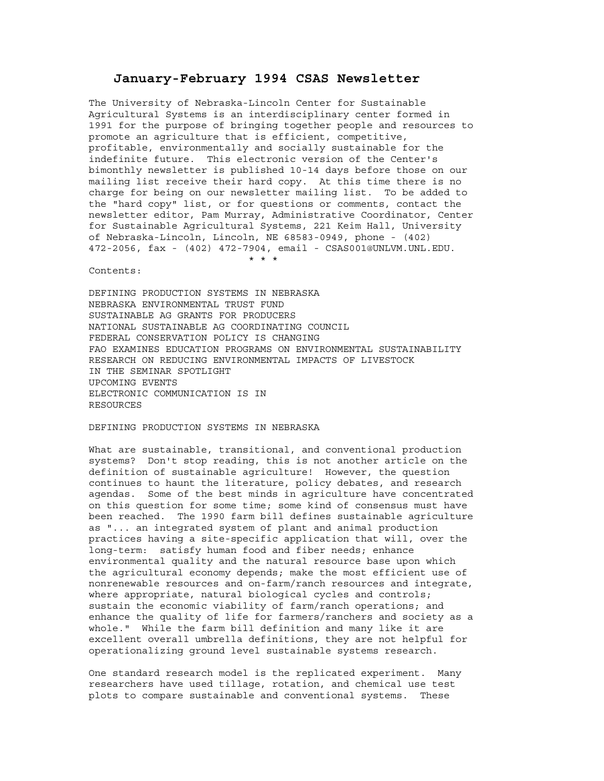### **January-February 1994 CSAS Newsletter**

The University of Nebraska-Lincoln Center for Sustainable Agricultural Systems is an interdisciplinary center formed in 1991 for the purpose of bringing together people and resources to promote an agriculture that is efficient, competitive, profitable, environmentally and socially sustainable for the indefinite future. This electronic version of the Center's bimonthly newsletter is published 10-14 days before those on our mailing list receive their hard copy. At this time there is no charge for being on our newsletter mailing list. To be added to the "hard copy" list, or for questions or comments, contact the newsletter editor, Pam Murray, Administrative Coordinator, Center for Sustainable Agricultural Systems, 221 Keim Hall, University of Nebraska-Lincoln, Lincoln, NE 68583-0949, phone - (402) 472-2056, fax - (402) 472-7904, email - CSAS001@UNLVM.UNL.EDU. \* \* \*

Contents:

DEFINING PRODUCTION SYSTEMS IN NEBRASKA NEBRASKA ENVIRONMENTAL TRUST FUND SUSTAINABLE AG GRANTS FOR PRODUCERS NATIONAL SUSTAINABLE AG COORDINATING COUNCIL FEDERAL CONSERVATION POLICY IS CHANGING FAO EXAMINES EDUCATION PROGRAMS ON ENVIRONMENTAL SUSTAINABILITY RESEARCH ON REDUCING ENVIRONMENTAL IMPACTS OF LIVESTOCK IN THE SEMINAR SPOTLIGHT UPCOMING EVENTS ELECTRONIC COMMUNICATION IS IN **RESOURCES** 

DEFINING PRODUCTION SYSTEMS IN NEBRASKA

What are sustainable, transitional, and conventional production systems? Don't stop reading, this is not another article on the definition of sustainable agriculture! However, the question continues to haunt the literature, policy debates, and research agendas. Some of the best minds in agriculture have concentrated on this question for some time; some kind of consensus must have been reached. The 1990 farm bill defines sustainable agriculture as "... an integrated system of plant and animal production practices having a site-specific application that will, over the long-term: satisfy human food and fiber needs; enhance environmental quality and the natural resource base upon which the agricultural economy depends; make the most efficient use of nonrenewable resources and on-farm/ranch resources and integrate, where appropriate, natural biological cycles and controls; sustain the economic viability of farm/ranch operations; and enhance the quality of life for farmers/ranchers and society as a whole." While the farm bill definition and many like it are excellent overall umbrella definitions, they are not helpful for operationalizing ground level sustainable systems research.

One standard research model is the replicated experiment. Many researchers have used tillage, rotation, and chemical use test plots to compare sustainable and conventional systems. These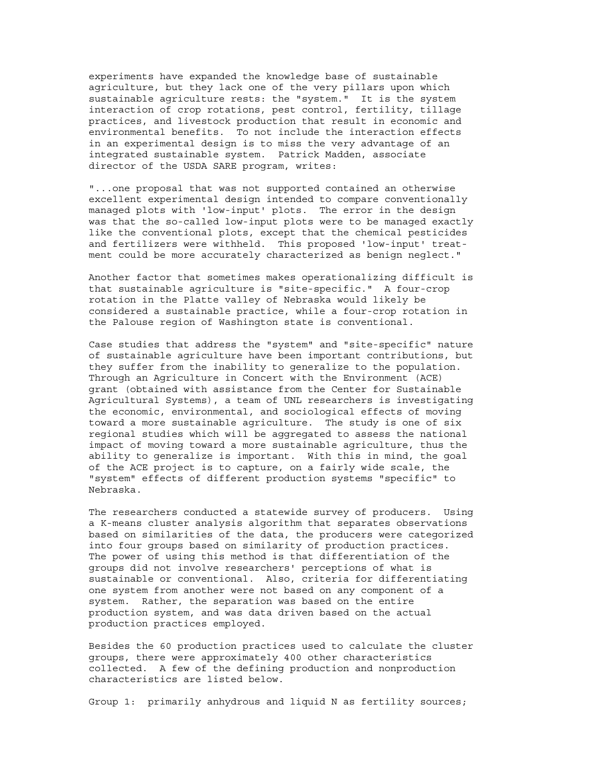experiments have expanded the knowledge base of sustainable agriculture, but they lack one of the very pillars upon which sustainable agriculture rests: the "system." It is the system interaction of crop rotations, pest control, fertility, tillage practices, and livestock production that result in economic and environmental benefits. To not include the interaction effects in an experimental design is to miss the very advantage of an integrated sustainable system. Patrick Madden, associate director of the USDA SARE program, writes:

"...one proposal that was not supported contained an otherwise excellent experimental design intended to compare conventionally managed plots with 'low-input' plots. The error in the design was that the so-called low-input plots were to be managed exactly like the conventional plots, except that the chemical pesticides and fertilizers were withheld. This proposed 'low-input' treatment could be more accurately characterized as benign neglect."

Another factor that sometimes makes operationalizing difficult is that sustainable agriculture is "site-specific." A four-crop rotation in the Platte valley of Nebraska would likely be considered a sustainable practice, while a four-crop rotation in the Palouse region of Washington state is conventional.

Case studies that address the "system" and "site-specific" nature of sustainable agriculture have been important contributions, but they suffer from the inability to generalize to the population. Through an Agriculture in Concert with the Environment (ACE) grant (obtained with assistance from the Center for Sustainable Agricultural Systems), a team of UNL researchers is investigating the economic, environmental, and sociological effects of moving toward a more sustainable agriculture. The study is one of six regional studies which will be aggregated to assess the national impact of moving toward a more sustainable agriculture, thus the ability to generalize is important. With this in mind, the goal of the ACE project is to capture, on a fairly wide scale, the "system" effects of different production systems "specific" to Nebraska.

The researchers conducted a statewide survey of producers. Using a K-means cluster analysis algorithm that separates observations based on similarities of the data, the producers were categorized into four groups based on similarity of production practices. The power of using this method is that differentiation of the groups did not involve researchers' perceptions of what is sustainable or conventional. Also, criteria for differentiating one system from another were not based on any component of a system. Rather, the separation was based on the entire production system, and was data driven based on the actual production practices employed.

Besides the 60 production practices used to calculate the cluster groups, there were approximately 400 other characteristics collected. A few of the defining production and nonproduction characteristics are listed below.

Group 1: primarily anhydrous and liquid N as fertility sources;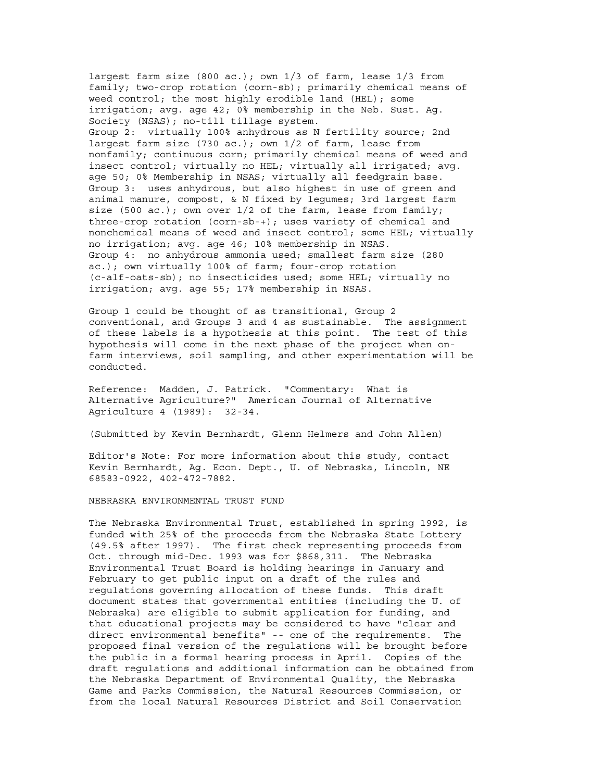largest farm size (800 ac.); own 1/3 of farm, lease 1/3 from family; two-crop rotation (corn-sb); primarily chemical means of weed control; the most highly erodible land (HEL); some irrigation; avg. age 42; 0% membership in the Neb. Sust. Ag. Society (NSAS); no-till tillage system. Group 2: virtually 100% anhydrous as N fertility source; 2nd largest farm size (730 ac.); own 1/2 of farm, lease from nonfamily; continuous corn; primarily chemical means of weed and insect control; virtually no HEL; virtually all irrigated; avg. age 50; 0% Membership in NSAS; virtually all feedgrain base. Group 3: uses anhydrous, but also highest in use of green and animal manure, compost, & N fixed by legumes; 3rd largest farm size (500 ac.); own over  $1/2$  of the farm, lease from family; three-crop rotation (corn-sb-+); uses variety of chemical and nonchemical means of weed and insect control; some HEL; virtually no irrigation; avg. age 46; 10% membership in NSAS. Group 4: no anhydrous ammonia used; smallest farm size (280 ac.); own virtually 100% of farm; four-crop rotation (c-alf-oats-sb); no insecticides used; some HEL; virtually no irrigation; avg. age 55; 17% membership in NSAS.

Group 1 could be thought of as transitional, Group 2 conventional, and Groups 3 and 4 as sustainable. The assignment of these labels is a hypothesis at this point. The test of this hypothesis will come in the next phase of the project when onfarm interviews, soil sampling, and other experimentation will be conducted.

Reference: Madden, J. Patrick. "Commentary: What is Alternative Agriculture?" American Journal of Alternative Agriculture 4 (1989): 32-34.

(Submitted by Kevin Bernhardt, Glenn Helmers and John Allen)

Editor's Note: For more information about this study, contact Kevin Bernhardt, Ag. Econ. Dept., U. of Nebraska, Lincoln, NE 68583-0922, 402-472-7882.

NEBRASKA ENVIRONMENTAL TRUST FUND

The Nebraska Environmental Trust, established in spring 1992, is funded with 25% of the proceeds from the Nebraska State Lottery (49.5% after 1997). The first check representing proceeds from Oct. through mid-Dec. 1993 was for \$868,311. The Nebraska Environmental Trust Board is holding hearings in January and February to get public input on a draft of the rules and regulations governing allocation of these funds. This draft document states that governmental entities (including the U. of Nebraska) are eligible to submit application for funding, and that educational projects may be considered to have "clear and direct environmental benefits" -- one of the requirements. The proposed final version of the regulations will be brought before the public in a formal hearing process in April. Copies of the draft regulations and additional information can be obtained from the Nebraska Department of Environmental Quality, the Nebraska Game and Parks Commission, the Natural Resources Commission, or from the local Natural Resources District and Soil Conservation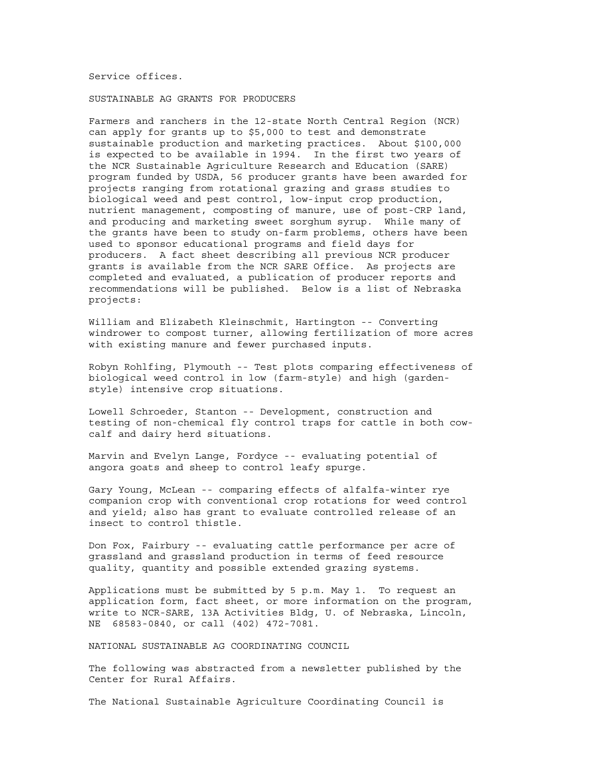Service offices.

SUSTAINABLE AG GRANTS FOR PRODUCERS

Farmers and ranchers in the 12-state North Central Region (NCR) can apply for grants up to \$5,000 to test and demonstrate sustainable production and marketing practices. About \$100,000 is expected to be available in 1994. In the first two years of the NCR Sustainable Agriculture Research and Education (SARE) program funded by USDA, 56 producer grants have been awarded for projects ranging from rotational grazing and grass studies to biological weed and pest control, low-input crop production, nutrient management, composting of manure, use of post-CRP land, and producing and marketing sweet sorghum syrup. While many of the grants have been to study on-farm problems, others have been used to sponsor educational programs and field days for producers. A fact sheet describing all previous NCR producer grants is available from the NCR SARE Office. As projects are completed and evaluated, a publication of producer reports and recommendations will be published. Below is a list of Nebraska projects:

William and Elizabeth Kleinschmit, Hartington -- Converting windrower to compost turner, allowing fertilization of more acres with existing manure and fewer purchased inputs.

Robyn Rohlfing, Plymouth -- Test plots comparing effectiveness of biological weed control in low (farm-style) and high (gardenstyle) intensive crop situations.

Lowell Schroeder, Stanton -- Development, construction and testing of non-chemical fly control traps for cattle in both cowcalf and dairy herd situations.

Marvin and Evelyn Lange, Fordyce -- evaluating potential of angora goats and sheep to control leafy spurge.

Gary Young, McLean -- comparing effects of alfalfa-winter rye companion crop with conventional crop rotations for weed control and yield; also has grant to evaluate controlled release of an insect to control thistle.

Don Fox, Fairbury -- evaluating cattle performance per acre of grassland and grassland production in terms of feed resource quality, quantity and possible extended grazing systems.

Applications must be submitted by 5 p.m. May 1. To request an application form, fact sheet, or more information on the program, write to NCR-SARE, 13A Activities Bldg, U. of Nebraska, Lincoln, NE 68583-0840, or call (402) 472-7081.

NATIONAL SUSTAINABLE AG COORDINATING COUNCIL

The following was abstracted from a newsletter published by the Center for Rural Affairs.

The National Sustainable Agriculture Coordinating Council is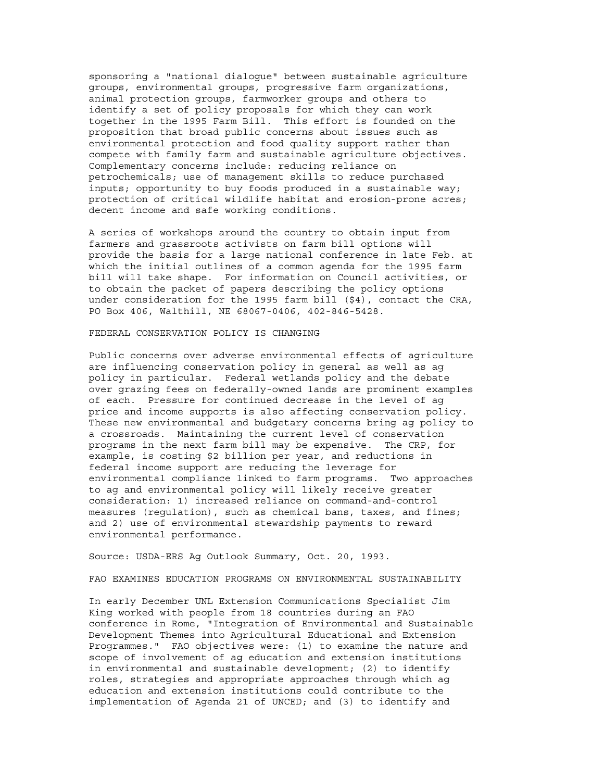sponsoring a "national dialogue" between sustainable agriculture groups, environmental groups, progressive farm organizations, animal protection groups, farmworker groups and others to identify a set of policy proposals for which they can work together in the 1995 Farm Bill. This effort is founded on the proposition that broad public concerns about issues such as environmental protection and food quality support rather than compete with family farm and sustainable agriculture objectives. Complementary concerns include: reducing reliance on petrochemicals; use of management skills to reduce purchased inputs; opportunity to buy foods produced in a sustainable way; protection of critical wildlife habitat and erosion-prone acres; decent income and safe working conditions.

A series of workshops around the country to obtain input from farmers and grassroots activists on farm bill options will provide the basis for a large national conference in late Feb. at which the initial outlines of a common agenda for the 1995 farm bill will take shape. For information on Council activities, or to obtain the packet of papers describing the policy options under consideration for the 1995 farm bill (\$4), contact the CRA, PO Box 406, Walthill, NE 68067-0406, 402-846-5428.

#### FEDERAL CONSERVATION POLICY IS CHANGING

Public concerns over adverse environmental effects of agriculture are influencing conservation policy in general as well as ag policy in particular. Federal wetlands policy and the debate over grazing fees on federally-owned lands are prominent examples of each. Pressure for continued decrease in the level of ag price and income supports is also affecting conservation policy. These new environmental and budgetary concerns bring ag policy to a crossroads. Maintaining the current level of conservation programs in the next farm bill may be expensive. The CRP, for example, is costing \$2 billion per year, and reductions in federal income support are reducing the leverage for environmental compliance linked to farm programs. Two approaches to ag and environmental policy will likely receive greater consideration: 1) increased reliance on command-and-control measures (regulation), such as chemical bans, taxes, and fines; and 2) use of environmental stewardship payments to reward environmental performance.

Source: USDA-ERS Ag Outlook Summary, Oct. 20, 1993.

#### FAO EXAMINES EDUCATION PROGRAMS ON ENVIRONMENTAL SUSTAINABILITY

In early December UNL Extension Communications Specialist Jim King worked with people from 18 countries during an FAO conference in Rome, "Integration of Environmental and Sustainable Development Themes into Agricultural Educational and Extension Programmes." FAO objectives were: (1) to examine the nature and scope of involvement of ag education and extension institutions in environmental and sustainable development; (2) to identify roles, strategies and appropriate approaches through which ag education and extension institutions could contribute to the implementation of Agenda 21 of UNCED; and (3) to identify and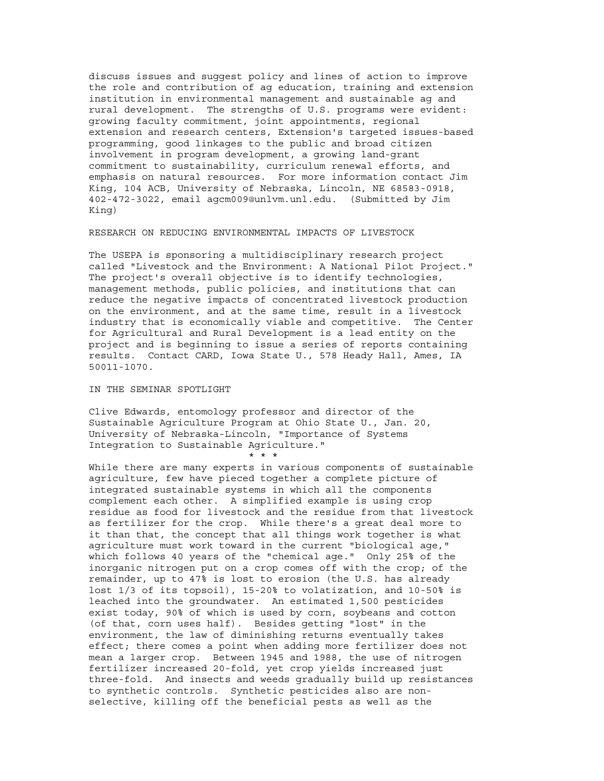discuss issues and suggest policy and lines of action to improve the role and contribution of ag education, training and extension institution in environmental management and sustainable ag and rural development. The strengths of U.S. programs were evident: growing faculty commitment, joint appointments, regional extension and research centers, Extension's targeted issues-based programming, good linkages to the public and broad citizen involvement in program development, a growing land-grant commitment to sustainability, curriculum renewal efforts, and emphasis on natural resources. For more information contact Jim King, 104 ACB, University of Nebraska, Lincoln, NE 68583-0918, 402-472-3022, email agcm009@unlvm.unl.edu. (Submitted by Jim King)

#### RESEARCH ON REDUCING ENVIRONMENTAL IMPACTS OF LIVESTOCK

The USEPA is sponsoring a multidisciplinary research project called "Livestock and the Environment: A National Pilot Project." The project's overall objective is to identify technologies, management methods, public policies, and institutions that can reduce the negative impacts of concentrated livestock production on the environment, and at the same time, result in a livestock industry that is economically viable and competitive. The Center for Agricultural and Rural Development is a lead entity on the project and is beginning to issue a series of reports containing results. Contact CARD, Iowa State U., 578 Heady Hall, Ames, IA 50011-1070.

#### IN THE SEMINAR SPOTLIGHT

Clive Edwards, entomology professor and director of the Sustainable Agriculture Program at Ohio State U., Jan. 20, University of Nebraska-Lincoln, "Importance of Systems Integration to Sustainable Agriculture." \* \* \*

While there are many experts in various components of sustainable agriculture, few have pieced together a complete picture of integrated sustainable systems in which all the components complement each other. A simplified example is using crop residue as food for livestock and the residue from that livestock as fertilizer for the crop. While there's a great deal more to it than that, the concept that all things work together is what agriculture must work toward in the current "biological age," which follows 40 years of the "chemical age." Only 25% of the inorganic nitrogen put on a crop comes off with the crop; of the remainder, up to 47% is lost to erosion (the U.S. has already lost 1/3 of its topsoil), 15-20% to volatization, and 10-50% is leached into the groundwater. An estimated 1,500 pesticides exist today, 90% of which is used by corn, soybeans and cotton (of that, corn uses half). Besides getting "lost" in the environment, the law of diminishing returns eventually takes effect; there comes a point when adding more fertilizer does not mean a larger crop. Between 1945 and 1988, the use of nitrogen fertilizer increased 20-fold, yet crop yields increased just three-fold. And insects and weeds gradually build up resistances to synthetic controls. Synthetic pesticides also are nonselective, killing off the beneficial pests as well as the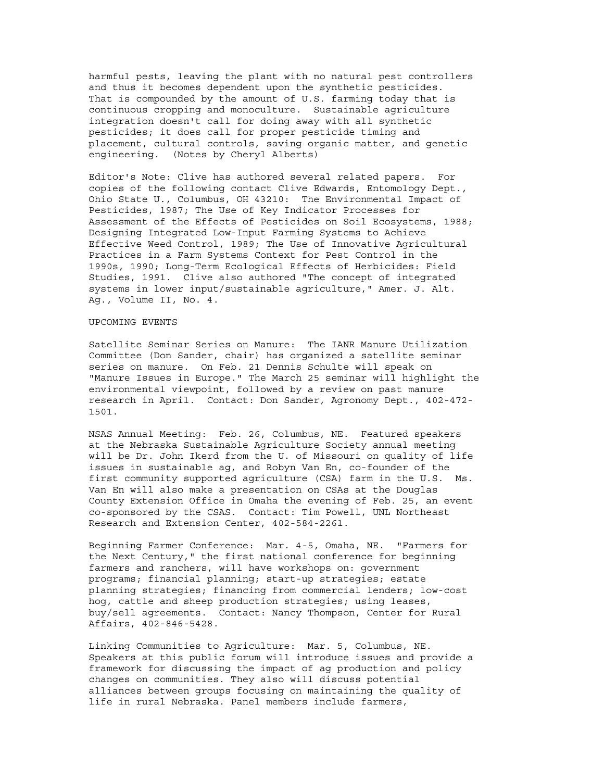harmful pests, leaving the plant with no natural pest controllers and thus it becomes dependent upon the synthetic pesticides. That is compounded by the amount of U.S. farming today that is continuous cropping and monoculture. Sustainable agriculture integration doesn't call for doing away with all synthetic pesticides; it does call for proper pesticide timing and placement, cultural controls, saving organic matter, and genetic engineering. (Notes by Cheryl Alberts)

Editor's Note: Clive has authored several related papers. For copies of the following contact Clive Edwards, Entomology Dept., Ohio State U., Columbus, OH 43210: The Environmental Impact of Pesticides, 1987; The Use of Key Indicator Processes for Assessment of the Effects of Pesticides on Soil Ecosystems, 1988; Designing Integrated Low-Input Farming Systems to Achieve Effective Weed Control, 1989; The Use of Innovative Agricultural Practices in a Farm Systems Context for Pest Control in the 1990s, 1990; Long-Term Ecological Effects of Herbicides: Field Studies, 1991. Clive also authored "The concept of integrated systems in lower input/sustainable agriculture," Amer. J. Alt. Ag., Volume II, No. 4.

#### UPCOMING EVENTS

Satellite Seminar Series on Manure: The IANR Manure Utilization Committee (Don Sander, chair) has organized a satellite seminar series on manure. On Feb. 21 Dennis Schulte will speak on "Manure Issues in Europe." The March 25 seminar will highlight the environmental viewpoint, followed by a review on past manure research in April. Contact: Don Sander, Agronomy Dept., 402-472- 1501.

NSAS Annual Meeting: Feb. 26, Columbus, NE. Featured speakers at the Nebraska Sustainable Agriculture Society annual meeting will be Dr. John Ikerd from the U. of Missouri on quality of life issues in sustainable ag, and Robyn Van En, co-founder of the first community supported agriculture (CSA) farm in the U.S. Ms. Van En will also make a presentation on CSAs at the Douglas County Extension Office in Omaha the evening of Feb. 25, an event co-sponsored by the CSAS. Contact: Tim Powell, UNL Northeast Research and Extension Center, 402-584-2261.

Beginning Farmer Conference: Mar. 4-5, Omaha, NE. "Farmers for the Next Century," the first national conference for beginning farmers and ranchers, will have workshops on: government programs; financial planning; start-up strategies; estate planning strategies; financing from commercial lenders; low-cost hog, cattle and sheep production strategies; using leases, buy/sell agreements. Contact: Nancy Thompson, Center for Rural Affairs, 402-846-5428.

Linking Communities to Agriculture: Mar. 5, Columbus, NE. Speakers at this public forum will introduce issues and provide a framework for discussing the impact of ag production and policy changes on communities. They also will discuss potential alliances between groups focusing on maintaining the quality of life in rural Nebraska. Panel members include farmers,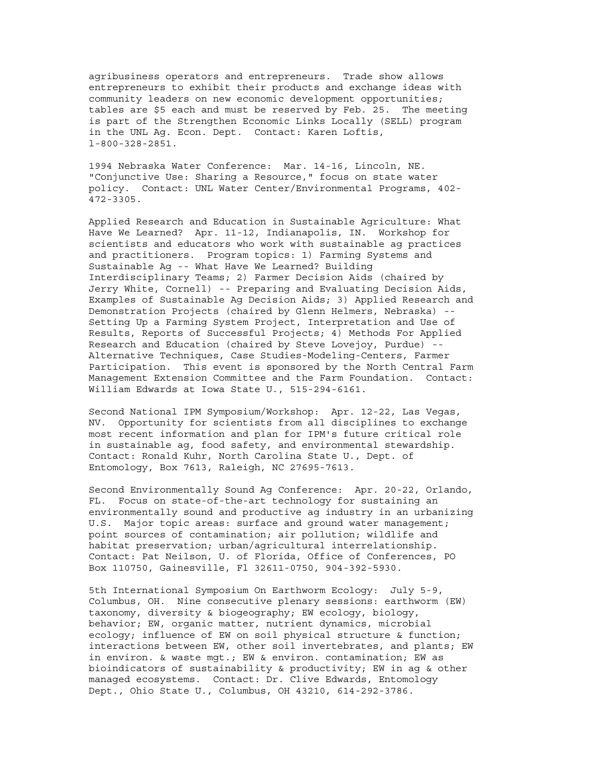agribusiness operators and entrepreneurs. Trade show allows entrepreneurs to exhibit their products and exchange ideas with community leaders on new economic development opportunities; tables are \$5 each and must be reserved by Feb. 25. The meeting is part of the Strengthen Economic Links Locally (SELL) program in the UNL Ag. Econ. Dept. Contact: Karen Loftis, l-800-328-2851.

1994 Nebraska Water Conference: Mar. 14-16, Lincoln, NE. "Conjunctive Use: Sharing a Resource," focus on state water policy. Contact: UNL Water Center/Environmental Programs, 402- 472-3305.

Applied Research and Education in Sustainable Agriculture: What Have We Learned? Apr. 11-12, Indianapolis, IN. Workshop for scientists and educators who work with sustainable ag practices and practitioners. Program topics: 1) Farming Systems and Sustainable Ag -- What Have We Learned? Building Interdisciplinary Teams; 2) Farmer Decision Aids (chaired by Jerry White, Cornell) -- Preparing and Evaluating Decision Aids, Examples of Sustainable Ag Decision Aids; 3) Applied Research and Demonstration Projects (chaired by Glenn Helmers, Nebraska) -- Setting Up a Farming System Project, Interpretation and Use of Results, Reports of Successful Projects; 4) Methods For Applied Research and Education (chaired by Steve Lovejoy, Purdue) -- Alternative Techniques, Case Studies-Modeling-Centers, Farmer Participation. This event is sponsored by the North Central Farm Management Extension Committee and the Farm Foundation. Contact: William Edwards at Iowa State U., 515-294-6161.

Second National IPM Symposium/Workshop: Apr. 12-22, Las Vegas, NV. Opportunity for scientists from all disciplines to exchange most recent information and plan for IPM's future critical role in sustainable ag, food safety, and environmental stewardship. Contact: Ronald Kuhr, North Carolina State U., Dept. of Entomology, Box 7613, Raleigh, NC 27695-7613.

Second Environmentally Sound Ag Conference: Apr. 20-22, Orlando, FL. Focus on state-of-the-art technology for sustaining an environmentally sound and productive ag industry in an urbanizing U.S. Major topic areas: surface and ground water management; point sources of contamination; air pollution; wildlife and habitat preservation; urban/agricultural interrelationship. Contact: Pat Neilson, U. of Florida, Office of Conferences, PO Box 110750, Gainesville, Fl 32611-0750, 904-392-5930.

5th International Symposium On Earthworm Ecology: July 5-9, Columbus, OH. Nine consecutive plenary sessions: earthworm (EW) taxonomy, diversity & biogeography; EW ecology, biology, behavior; EW, organic matter, nutrient dynamics, microbial ecology; influence of EW on soil physical structure & function; interactions between EW, other soil invertebrates, and plants; EW in environ. & waste mgt.; EW & environ. contamination; EW as bioindicators of sustainability & productivity; EW in ag & other managed ecosystems. Contact: Dr. Clive Edwards, Entomology Dept., Ohio State U., Columbus, OH 43210, 614-292-3786.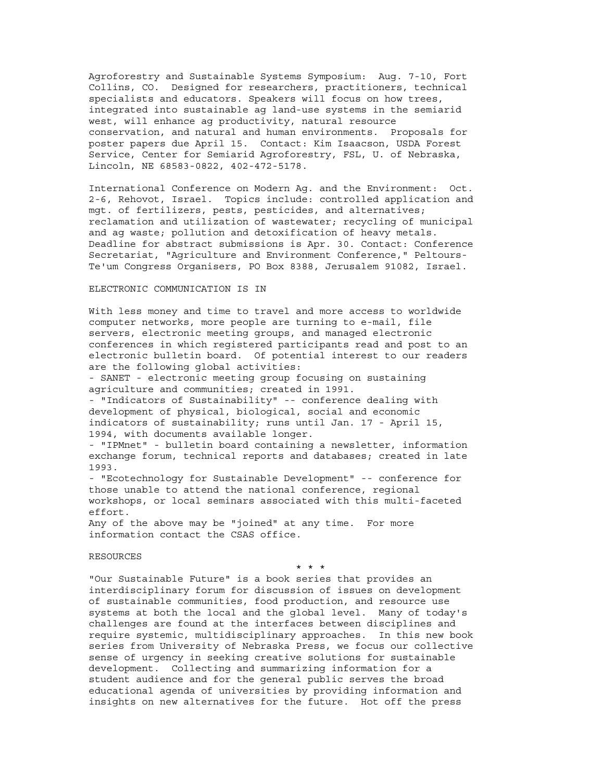Agroforestry and Sustainable Systems Symposium: Aug. 7-10, Fort Collins, CO. Designed for researchers, practitioners, technical specialists and educators. Speakers will focus on how trees, integrated into sustainable ag land-use systems in the semiarid west, will enhance ag productivity, natural resource conservation, and natural and human environments. Proposals for poster papers due April 15. Contact: Kim Isaacson, USDA Forest Service, Center for Semiarid Agroforestry, FSL, U. of Nebraska, Lincoln, NE 68583-0822, 402-472-5178.

International Conference on Modern Ag. and the Environment: Oct. 2-6, Rehovot, Israel. Topics include: controlled application and mgt. of fertilizers, pests, pesticides, and alternatives; reclamation and utilization of wastewater; recycling of municipal and ag waste; pollution and detoxification of heavy metals. Deadline for abstract submissions is Apr. 30. Contact: Conference Secretariat, "Agriculture and Environment Conference," Peltours-Te'um Congress Organisers, PO Box 8388, Jerusalem 91082, Israel.

#### ELECTRONIC COMMUNICATION IS IN

With less money and time to travel and more access to worldwide computer networks, more people are turning to e-mail, file servers, electronic meeting groups, and managed electronic conferences in which registered participants read and post to an electronic bulletin board. Of potential interest to our readers are the following global activities:

- SANET - electronic meeting group focusing on sustaining agriculture and communities; created in 1991.

- "Indicators of Sustainability" -- conference dealing with development of physical, biological, social and economic indicators of sustainability; runs until Jan. 17 - April 15, 1994, with documents available longer.

- "IPMnet" - bulletin board containing a newsletter, information exchange forum, technical reports and databases; created in late 1993.

- "Ecotechnology for Sustainable Development" -- conference for those unable to attend the national conference, regional workshops, or local seminars associated with this multi-faceted effort.

Any of the above may be "joined" at any time. For more information contact the CSAS office.

#### RESOURCES

\* \* \*

"Our Sustainable Future" is a book series that provides an interdisciplinary forum for discussion of issues on development of sustainable communities, food production, and resource use systems at both the local and the global level. Many of today's challenges are found at the interfaces between disciplines and require systemic, multidisciplinary approaches. In this new book series from University of Nebraska Press, we focus our collective sense of urgency in seeking creative solutions for sustainable development. Collecting and summarizing information for a student audience and for the general public serves the broad educational agenda of universities by providing information and insights on new alternatives for the future. Hot off the press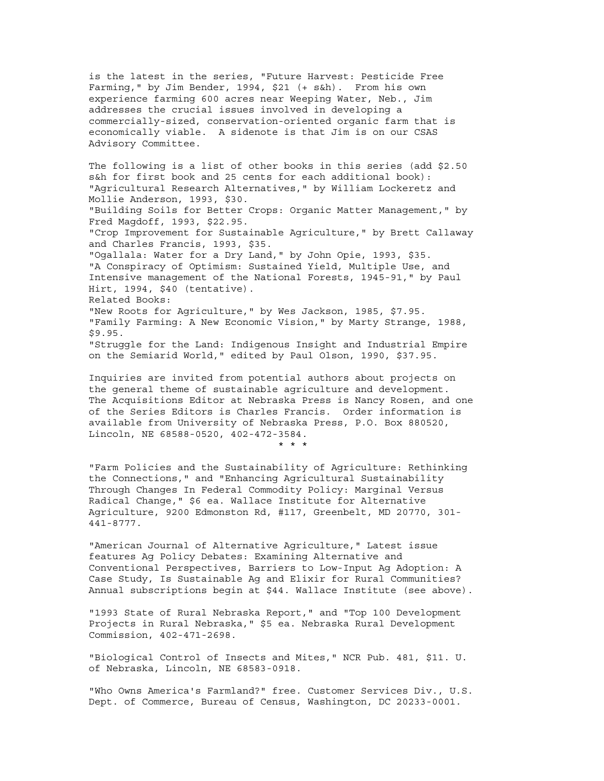is the latest in the series, "Future Harvest: Pesticide Free Farming," by Jim Bender, 1994, \$21 (+ s&h). From his own experience farming 600 acres near Weeping Water, Neb., Jim addresses the crucial issues involved in developing a commercially-sized, conservation-oriented organic farm that is economically viable. A sidenote is that Jim is on our CSAS Advisory Committee.

The following is a list of other books in this series (add \$2.50 s&h for first book and 25 cents for each additional book): "Agricultural Research Alternatives," by William Lockeretz and Mollie Anderson, 1993, \$30. "Building Soils for Better Crops: Organic Matter Management," by Fred Magdoff, 1993, \$22.95. "Crop Improvement for Sustainable Agriculture," by Brett Callaway and Charles Francis, 1993, \$35. "Ogallala: Water for a Dry Land," by John Opie, 1993, \$35. "A Conspiracy of Optimism: Sustained Yield, Multiple Use, and Intensive management of the National Forests, 1945-91," by Paul Hirt, 1994, \$40 (tentative). Related Books: "New Roots for Agriculture," by Wes Jackson, 1985, \$7.95. "Family Farming: A New Economic Vision," by Marty Strange, 1988, \$9.95. "Struggle for the Land: Indigenous Insight and Industrial Empire on the Semiarid World," edited by Paul Olson, 1990, \$37.95.

Inquiries are invited from potential authors about projects on the general theme of sustainable agriculture and development. The Acquisitions Editor at Nebraska Press is Nancy Rosen, and one of the Series Editors is Charles Francis. Order information is available from University of Nebraska Press, P.O. Box 880520, Lincoln, NE 68588-0520, 402-472-3584. \* \* \*

"Farm Policies and the Sustainability of Agriculture: Rethinking the Connections," and "Enhancing Agricultural Sustainability Through Changes In Federal Commodity Policy: Marginal Versus Radical Change," \$6 ea. Wallace Institute for Alternative Agriculture, 9200 Edmonston Rd, #117, Greenbelt, MD 20770, 301- 441-8777.

"American Journal of Alternative Agriculture," Latest issue features Ag Policy Debates: Examining Alternative and Conventional Perspectives, Barriers to Low-Input Ag Adoption: A Case Study, Is Sustainable Ag and Elixir for Rural Communities? Annual subscriptions begin at \$44. Wallace Institute (see above).

"1993 State of Rural Nebraska Report," and "Top 100 Development Projects in Rural Nebraska," \$5 ea. Nebraska Rural Development Commission, 402-471-2698.

"Biological Control of Insects and Mites," NCR Pub. 481, \$11. U. of Nebraska, Lincoln, NE 68583-0918.

"Who Owns America's Farmland?" free. Customer Services Div., U.S. Dept. of Commerce, Bureau of Census, Washington, DC 20233-0001.